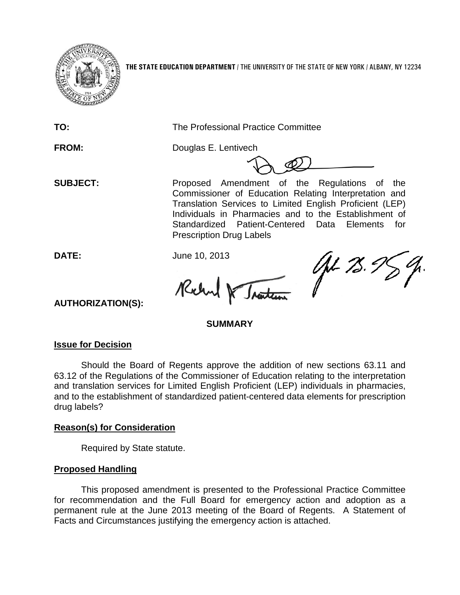

**THE STATE EDUCATION DEPARTMENT** / THE UNIVERSITY OF THE STATE OF NEW YORK / ALBANY, NY 12234

**TO:** The Professional Practice Committee

**FROM:** Douglas E. Lentivech

**SUBJECT:** Proposed Amendment of the Regulations of the Commissioner of Education Relating Interpretation and Translation Services to Limited English Proficient (LEP) Individuals in Pharmacies and to the Establishment of Standardized Patient-Centered Data Elements for Prescription Drug Labels

**DATE:** June 10, 2013

Robert Traiten

Jel 25.9

**AUTHORIZATION(S):**

## **SUMMARY**

## **Issue for Decision**

Should the Board of Regents approve the addition of new sections 63.11 and 63.12 of the Regulations of the Commissioner of Education relating to the interpretation and translation services for Limited English Proficient (LEP) individuals in pharmacies, and to the establishment of standardized patient-centered data elements for prescription drug labels?

## **Reason(s) for Consideration**

Required by State statute.

## **Proposed Handling**

This proposed amendment is presented to the Professional Practice Committee for recommendation and the Full Board for emergency action and adoption as a permanent rule at the June 2013 meeting of the Board of Regents. A Statement of Facts and Circumstances justifying the emergency action is attached.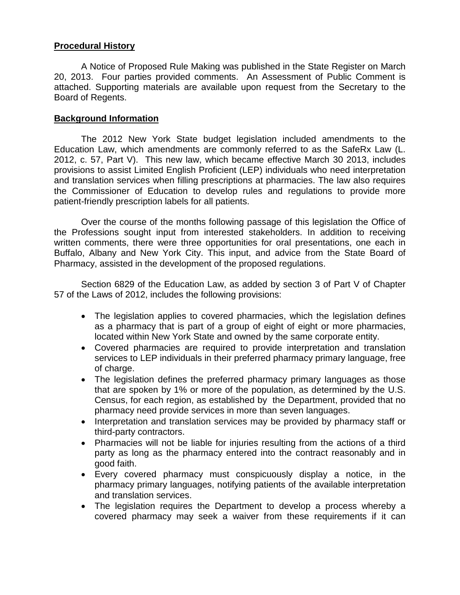### **Procedural History**

A Notice of Proposed Rule Making was published in the State Register on March 20, 2013. Four parties provided comments. An Assessment of Public Comment is attached. Supporting materials are available upon request from the Secretary to the Board of Regents.

### **Background Information**

The 2012 New York State budget legislation included amendments to the Education Law, which amendments are commonly referred to as the SafeRx Law (L. 2012, c. 57, Part V). This new law, which became effective March 30 2013, includes provisions to assist Limited English Proficient (LEP) individuals who need interpretation and translation services when filling prescriptions at pharmacies. The law also requires the Commissioner of Education to develop rules and regulations to provide more patient-friendly prescription labels for all patients.

Over the course of the months following passage of this legislation the Office of the Professions sought input from interested stakeholders. In addition to receiving written comments, there were three opportunities for oral presentations, one each in Buffalo, Albany and New York City. This input, and advice from the State Board of Pharmacy, assisted in the development of the proposed regulations.

Section 6829 of the Education Law, as added by section 3 of Part V of Chapter 57 of the Laws of 2012, includes the following provisions:

- The legislation applies to covered pharmacies, which the legislation defines as a pharmacy that is part of a group of eight of eight or more pharmacies, located within New York State and owned by the same corporate entity.
- Covered pharmacies are required to provide interpretation and translation services to LEP individuals in their preferred pharmacy primary language, free of charge.
- The legislation defines the preferred pharmacy primary languages as those that are spoken by 1% or more of the population, as determined by the U.S. Census, for each region, as established by the Department, provided that no pharmacy need provide services in more than seven languages.
- Interpretation and translation services may be provided by pharmacy staff or third-party contractors.
- Pharmacies will not be liable for injuries resulting from the actions of a third party as long as the pharmacy entered into the contract reasonably and in good faith.
- Every covered pharmacy must conspicuously display a notice, in the pharmacy primary languages, notifying patients of the available interpretation and translation services.
- The legislation requires the Department to develop a process whereby a covered pharmacy may seek a waiver from these requirements if it can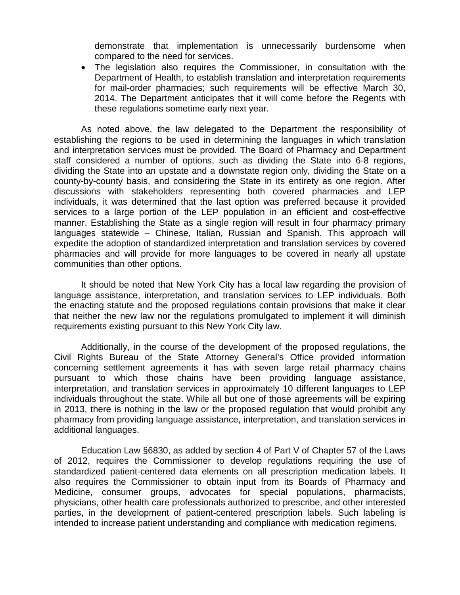demonstrate that implementation is unnecessarily burdensome when compared to the need for services.

• The legislation also requires the Commissioner, in consultation with the Department of Health, to establish translation and interpretation requirements for mail-order pharmacies; such requirements will be effective March 30, 2014. The Department anticipates that it will come before the Regents with these regulations sometime early next year.

As noted above, the law delegated to the Department the responsibility of establishing the regions to be used in determining the languages in which translation and interpretation services must be provided. The Board of Pharmacy and Department staff considered a number of options, such as dividing the State into 6-8 regions, dividing the State into an upstate and a downstate region only, dividing the State on a county-by-county basis, and considering the State in its entirety as one region. After discussions with stakeholders representing both covered pharmacies and LEP individuals, it was determined that the last option was preferred because it provided services to a large portion of the LEP population in an efficient and cost-effective manner. Establishing the State as a single region will result in four pharmacy primary languages statewide – Chinese, Italian, Russian and Spanish. This approach will expedite the adoption of standardized interpretation and translation services by covered pharmacies and will provide for more languages to be covered in nearly all upstate communities than other options.

It should be noted that New York City has a local law regarding the provision of language assistance, interpretation, and translation services to LEP individuals. Both the enacting statute and the proposed regulations contain provisions that make it clear that neither the new law nor the regulations promulgated to implement it will diminish requirements existing pursuant to this New York City law.

Additionally, in the course of the development of the proposed regulations, the Civil Rights Bureau of the State Attorney General's Office provided information concerning settlement agreements it has with seven large retail pharmacy chains pursuant to which those chains have been providing language assistance, interpretation, and translation services in approximately 10 different languages to LEP individuals throughout the state. While all but one of those agreements will be expiring in 2013, there is nothing in the law or the proposed regulation that would prohibit any pharmacy from providing language assistance, interpretation, and translation services in additional languages.

Education Law §6830, as added by section 4 of Part V of Chapter 57 of the Laws of 2012, requires the Commissioner to develop regulations requiring the use of standardized patient-centered data elements on all prescription medication labels. It also requires the Commissioner to obtain input from its Boards of Pharmacy and Medicine, consumer groups, advocates for special populations, pharmacists, physicians, other health care professionals authorized to prescribe, and other interested parties, in the development of patient-centered prescription labels. Such labeling is intended to increase patient understanding and compliance with medication regimens.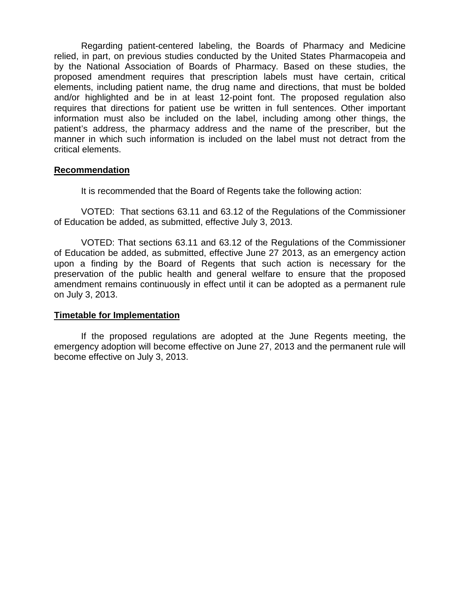Regarding patient-centered labeling, the Boards of Pharmacy and Medicine relied, in part, on previous studies conducted by the United States Pharmacopeia and by the National Association of Boards of Pharmacy. Based on these studies, the proposed amendment requires that prescription labels must have certain, critical elements, including patient name, the drug name and directions, that must be bolded and/or highlighted and be in at least 12-point font. The proposed regulation also requires that directions for patient use be written in full sentences. Other important information must also be included on the label, including among other things, the patient's address, the pharmacy address and the name of the prescriber, but the manner in which such information is included on the label must not detract from the critical elements.

#### **Recommendation**

It is recommended that the Board of Regents take the following action:

VOTED: That sections 63.11 and 63.12 of the Regulations of the Commissioner of Education be added, as submitted, effective July 3, 2013.

VOTED: That sections 63.11 and 63.12 of the Regulations of the Commissioner of Education be added, as submitted, effective June 27 2013, as an emergency action upon a finding by the Board of Regents that such action is necessary for the preservation of the public health and general welfare to ensure that the proposed amendment remains continuously in effect until it can be adopted as a permanent rule on July 3, 2013.

#### **Timetable for Implementation**

If the proposed regulations are adopted at the June Regents meeting, the emergency adoption will become effective on June 27, 2013 and the permanent rule will become effective on July 3, 2013.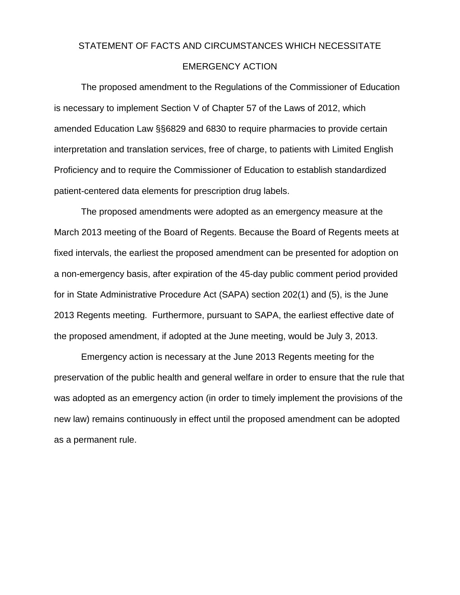# STATEMENT OF FACTS AND CIRCUMSTANCES WHICH NECESSITATE EMERGENCY ACTION

The proposed amendment to the Regulations of the Commissioner of Education is necessary to implement Section V of Chapter 57 of the Laws of 2012, which amended Education Law §§6829 and 6830 to require pharmacies to provide certain interpretation and translation services, free of charge, to patients with Limited English Proficiency and to require the Commissioner of Education to establish standardized patient-centered data elements for prescription drug labels.

The proposed amendments were adopted as an emergency measure at the March 2013 meeting of the Board of Regents. Because the Board of Regents meets at fixed intervals, the earliest the proposed amendment can be presented for adoption on a non-emergency basis, after expiration of the 45-day public comment period provided for in State Administrative Procedure Act (SAPA) section 202(1) and (5), is the June 2013 Regents meeting. Furthermore, pursuant to SAPA, the earliest effective date of the proposed amendment, if adopted at the June meeting, would be July 3, 2013.

Emergency action is necessary at the June 2013 Regents meeting for the preservation of the public health and general welfare in order to ensure that the rule that was adopted as an emergency action (in order to timely implement the provisions of the new law) remains continuously in effect until the proposed amendment can be adopted as a permanent rule.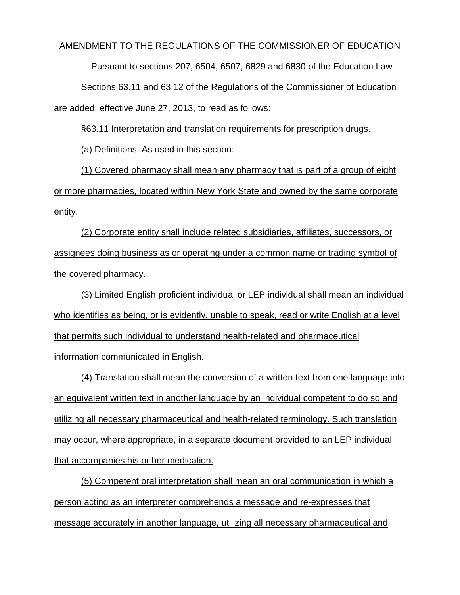#### AMENDMENT TO THE REGULATIONS OF THE COMMISSIONER OF EDUCATION

Pursuant to sections 207, 6504, 6507, 6829 and 6830 of the Education Law

Sections 63.11 and 63.12 of the Regulations of the Commissioner of Education are added, effective June 27, 2013, to read as follows:

§63.11 Interpretation and translation requirements for prescription drugs.

(a) Definitions. As used in this section:

(1) Covered pharmacy shall mean any pharmacy that is part of a group of eight or more pharmacies, located within New York State and owned by the same corporate entity.

(2) Corporate entity shall include related subsidiaries, affiliates, successors, or assignees doing business as or operating under a common name or trading symbol of the covered pharmacy.

(3) Limited English proficient individual or LEP individual shall mean an individual who identifies as being, or is evidently, unable to speak, read or write English at a level that permits such individual to understand health-related and pharmaceutical information communicated in English.

(4) Translation shall mean the conversion of a written text from one language into an equivalent written text in another language by an individual competent to do so and utilizing all necessary pharmaceutical and health-related terminology. Such translation may occur, where appropriate, in a separate document provided to an LEP individual that accompanies his or her medication.

(5) Competent oral interpretation shall mean an oral communication in which a person acting as an interpreter comprehends a message and re-expresses that message accurately in another language, utilizing all necessary pharmaceutical and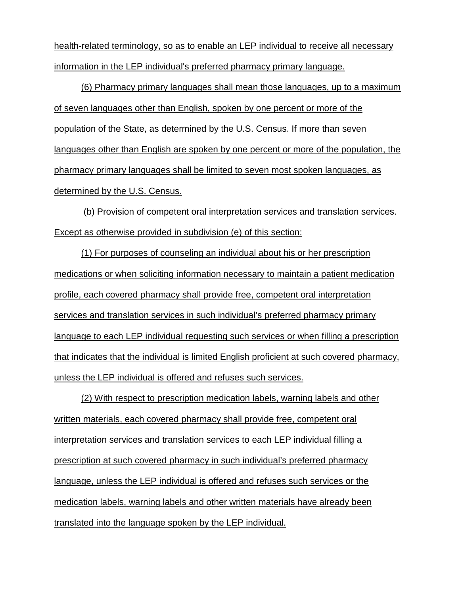health-related terminology, so as to enable an LEP individual to receive all necessary information in the LEP individual's preferred pharmacy primary language.

(6) Pharmacy primary languages shall mean those languages, up to a maximum of seven languages other than English, spoken by one percent or more of the population of the State, as determined by the U.S. Census. If more than seven languages other than English are spoken by one percent or more of the population, the pharmacy primary languages shall be limited to seven most spoken languages, as determined by the U.S. Census.

(b) Provision of competent oral interpretation services and translation services. Except as otherwise provided in subdivision (e) of this section:

(1) For purposes of counseling an individual about his or her prescription medications or when soliciting information necessary to maintain a patient medication profile, each covered pharmacy shall provide free, competent oral interpretation services and translation services in such individual's preferred pharmacy primary language to each LEP individual requesting such services or when filling a prescription that indicates that the individual is limited English proficient at such covered pharmacy, unless the LEP individual is offered and refuses such services.

(2) With respect to prescription medication labels, warning labels and other written materials, each covered pharmacy shall provide free, competent oral interpretation services and translation services to each LEP individual filling a prescription at such covered pharmacy in such individual's preferred pharmacy language, unless the LEP individual is offered and refuses such services or the medication labels, warning labels and other written materials have already been translated into the language spoken by the LEP individual.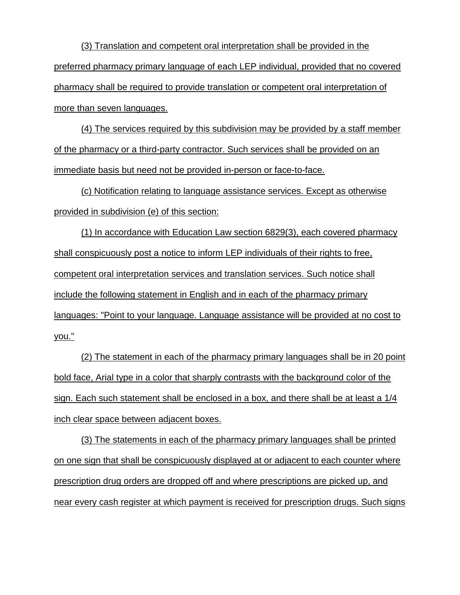(3) Translation and competent oral interpretation shall be provided in the preferred pharmacy primary language of each LEP individual, provided that no covered pharmacy shall be required to provide translation or competent oral interpretation of more than seven languages.

(4) The services required by this subdivision may be provided by a staff member of the pharmacy or a third-party contractor. Such services shall be provided on an immediate basis but need not be provided in-person or face-to-face.

(c) Notification relating to language assistance services. Except as otherwise provided in subdivision (e) of this section:

(1) In accordance with Education Law section 6829(3), each covered pharmacy shall conspicuously post a notice to inform LEP individuals of their rights to free, competent oral interpretation services and translation services. Such notice shall include the following statement in English and in each of the pharmacy primary languages: "Point to your language. Language assistance will be provided at no cost to you."

(2) The statement in each of the pharmacy primary languages shall be in 20 point bold face, Arial type in a color that sharply contrasts with the background color of the sign. Each such statement shall be enclosed in a box, and there shall be at least a 1/4 inch clear space between adjacent boxes.

(3) The statements in each of the pharmacy primary languages shall be printed on one sign that shall be conspicuously displayed at or adjacent to each counter where prescription drug orders are dropped off and where prescriptions are picked up, and near every cash register at which payment is received for prescription drugs. Such signs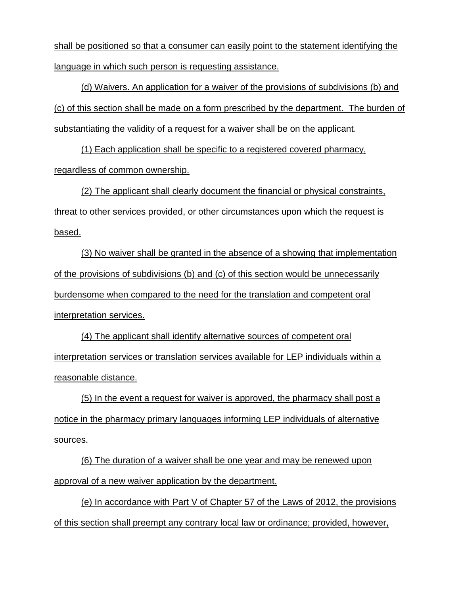shall be positioned so that a consumer can easily point to the statement identifying the language in which such person is requesting assistance.

(d) Waivers. An application for a waiver of the provisions of subdivisions (b) and (c) of this section shall be made on a form prescribed by the department. The burden of substantiating the validity of a request for a waiver shall be on the applicant.

(1) Each application shall be specific to a registered covered pharmacy, regardless of common ownership.

(2) The applicant shall clearly document the financial or physical constraints, threat to other services provided, or other circumstances upon which the request is based.

(3) No waiver shall be granted in the absence of a showing that implementation of the provisions of subdivisions (b) and (c) of this section would be unnecessarily burdensome when compared to the need for the translation and competent oral interpretation services.

(4) The applicant shall identify alternative sources of competent oral interpretation services or translation services available for LEP individuals within a reasonable distance.

(5) In the event a request for waiver is approved, the pharmacy shall post a notice in the pharmacy primary languages informing LEP individuals of alternative sources.

(6) The duration of a waiver shall be one year and may be renewed upon approval of a new waiver application by the department.

(e) In accordance with Part V of Chapter 57 of the Laws of 2012, the provisions of this section shall preempt any contrary local law or ordinance; provided, however,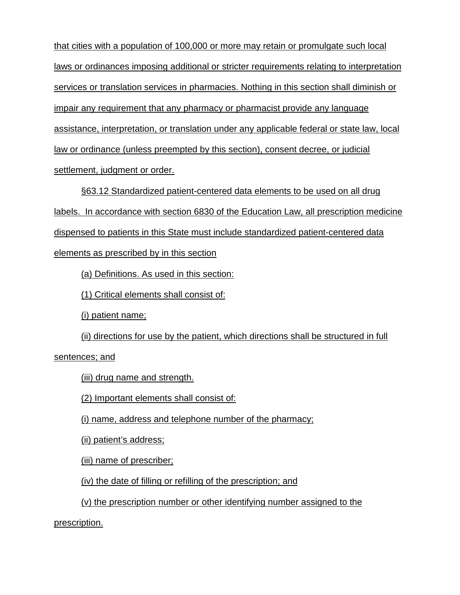that cities with a population of 100,000 or more may retain or promulgate such local laws or ordinances imposing additional or stricter requirements relating to interpretation services or translation services in pharmacies. Nothing in this section shall diminish or impair any requirement that any pharmacy or pharmacist provide any language assistance, interpretation, or translation under any applicable federal or state law, local law or ordinance (unless preempted by this section), consent decree, or judicial settlement, judgment or order.

§63.12 Standardized patient-centered data elements to be used on all drug labels. In accordance with section 6830 of the Education Law, all prescription medicine dispensed to patients in this State must include standardized patient-centered data elements as prescribed by in this section

(a) Definitions. As used in this section:

(1) Critical elements shall consist of:

(i) patient name;

(ii) directions for use by the patient, which directions shall be structured in full

sentences; and

(iii) drug name and strength.

(2) Important elements shall consist of:

(i) name, address and telephone number of the pharmacy;

(ii) patient's address;

(iii) name of prescriber;

(iv) the date of filling or refilling of the prescription; and

(v) the prescription number or other identifying number assigned to the

prescription.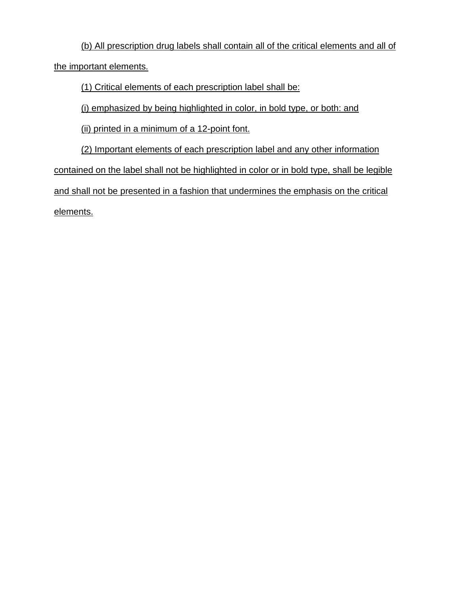(b) All prescription drug labels shall contain all of the critical elements and all of the important elements.

(1) Critical elements of each prescription label shall be:

(i) emphasized by being highlighted in color, in bold type, or both: and

(ii) printed in a minimum of a 12-point font.

(2) Important elements of each prescription label and any other information contained on the label shall not be highlighted in color or in bold type, shall be legible and shall not be presented in a fashion that undermines the emphasis on the critical elements.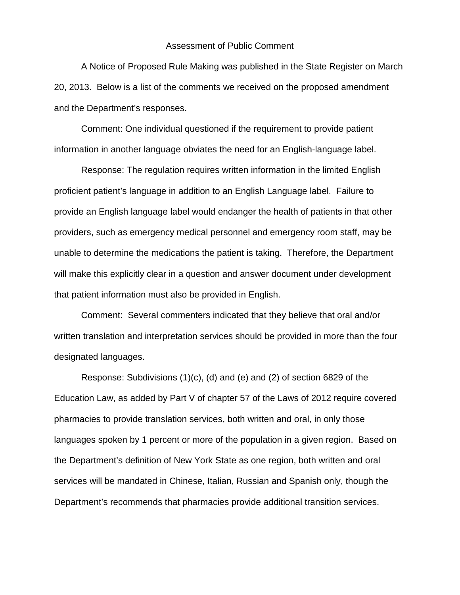#### Assessment of Public Comment

A Notice of Proposed Rule Making was published in the State Register on March 20, 2013. Below is a list of the comments we received on the proposed amendment and the Department's responses.

Comment: One individual questioned if the requirement to provide patient information in another language obviates the need for an English-language label.

Response: The regulation requires written information in the limited English proficient patient's language in addition to an English Language label. Failure to provide an English language label would endanger the health of patients in that other providers, such as emergency medical personnel and emergency room staff, may be unable to determine the medications the patient is taking. Therefore, the Department will make this explicitly clear in a question and answer document under development that patient information must also be provided in English.

Comment: Several commenters indicated that they believe that oral and/or written translation and interpretation services should be provided in more than the four designated languages.

Response: Subdivisions (1)(c), (d) and (e) and (2) of section 6829 of the Education Law, as added by Part V of chapter 57 of the Laws of 2012 require covered pharmacies to provide translation services, both written and oral, in only those languages spoken by 1 percent or more of the population in a given region. Based on the Department's definition of New York State as one region, both written and oral services will be mandated in Chinese, Italian, Russian and Spanish only, though the Department's recommends that pharmacies provide additional transition services.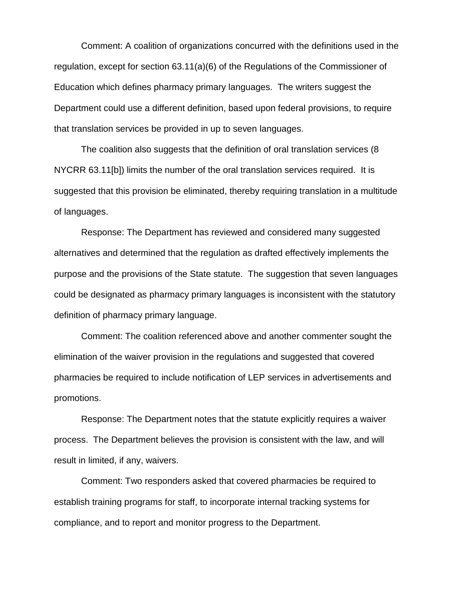Comment: A coalition of organizations concurred with the definitions used in the regulation, except for section 63.11(a)(6) of the Regulations of the Commissioner of Education which defines pharmacy primary languages. The writers suggest the Department could use a different definition, based upon federal provisions, to require that translation services be provided in up to seven languages.

The coalition also suggests that the definition of oral translation services (8 NYCRR 63.11[b]) limits the number of the oral translation services required. It is suggested that this provision be eliminated, thereby requiring translation in a multitude of languages.

Response: The Department has reviewed and considered many suggested alternatives and determined that the regulation as drafted effectively implements the purpose and the provisions of the State statute. The suggestion that seven languages could be designated as pharmacy primary languages is inconsistent with the statutory definition of pharmacy primary language.

Comment: The coalition referenced above and another commenter sought the elimination of the waiver provision in the regulations and suggested that covered pharmacies be required to include notification of LEP services in advertisements and promotions.

Response: The Department notes that the statute explicitly requires a waiver process. The Department believes the provision is consistent with the law, and will result in limited, if any, waivers.

Comment: Two responders asked that covered pharmacies be required to establish training programs for staff, to incorporate internal tracking systems for compliance, and to report and monitor progress to the Department.